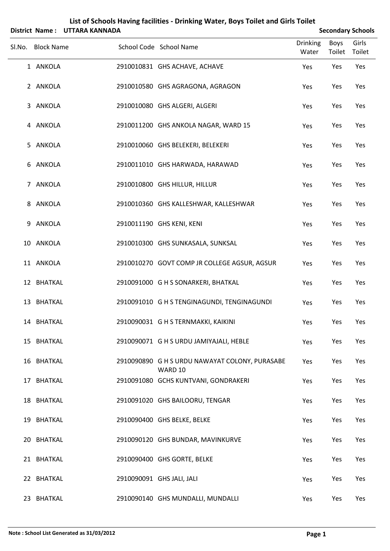|   |                   | District Name: UTTARA KANNADA |                                                           |                          |                | <b>Secondary Schools</b> |
|---|-------------------|-------------------------------|-----------------------------------------------------------|--------------------------|----------------|--------------------------|
|   | Sl.No. Block Name |                               | School Code School Name                                   | <b>Drinking</b><br>Water | Boys<br>Toilet | Girls<br>Toilet          |
|   | 1 ANKOLA          |                               | 2910010831 GHS ACHAVE, ACHAVE                             | Yes                      | Yes            | Yes                      |
|   | 2 ANKOLA          |                               | 2910010580 GHS AGRAGONA, AGRAGON                          | Yes                      | Yes            | Yes                      |
| 3 | ANKOLA            |                               | 2910010080 GHS ALGERI, ALGERI                             | Yes                      | Yes            | Yes                      |
|   | 4 ANKOLA          |                               | 2910011200 GHS ANKOLA NAGAR, WARD 15                      | Yes                      | Yes            | Yes                      |
| 5 | ANKOLA            |                               | 2910010060 GHS BELEKERI, BELEKERI                         | Yes                      | Yes            | Yes                      |
|   | 6 ANKOLA          |                               | 2910011010 GHS HARWADA, HARAWAD                           | Yes                      | Yes            | Yes                      |
|   | 7 ANKOLA          |                               | 2910010800 GHS HILLUR, HILLUR                             | Yes                      | Yes            | Yes                      |
| 8 | ANKOLA            |                               | 2910010360 GHS KALLESHWAR, KALLESHWAR                     | Yes                      | Yes            | Yes                      |
| 9 | ANKOLA            |                               | 2910011190 GHS KENI, KENI                                 | Yes                      | Yes            | Yes                      |
|   | 10 ANKOLA         |                               | 2910010300 GHS SUNKASALA, SUNKSAL                         | Yes                      | Yes            | Yes                      |
|   | 11 ANKOLA         |                               | 2910010270 GOVT COMP JR COLLEGE AGSUR, AGSUR              | Yes                      | Yes            | Yes                      |
|   | 12 BHATKAL        |                               | 2910091000 G H S SONARKERI, BHATKAL                       | Yes                      | Yes            | Yes                      |
|   | 13 BHATKAL        |                               | 2910091010 G H S TENGINAGUNDI, TENGINAGUNDI               | Yes                      | Yes            | Yes                      |
|   | 14 BHATKAL        |                               | 2910090031 G H S TERNMAKKI, KAIKINI                       | Yes                      | Yes            | Yes                      |
|   | 15 BHATKAL        |                               | 2910090071 G H S URDU JAMIYAJALI, HEBLE                   | Yes                      | Yes            | Yes                      |
|   | 16 BHATKAL        |                               | 2910090890 G H S URDU NAWAYAT COLONY, PURASABE<br>WARD 10 | Yes                      | Yes            | Yes                      |
|   | 17 BHATKAL        |                               | 2910091080 GCHS KUNTVANI, GONDRAKERI                      | Yes                      | Yes            | Yes                      |
|   | 18 BHATKAL        |                               | 2910091020 GHS BAILOORU, TENGAR                           | Yes                      | Yes            | Yes                      |
|   | 19 BHATKAL        |                               | 2910090400 GHS BELKE, BELKE                               | Yes                      | Yes            | Yes                      |
|   | 20 BHATKAL        |                               | 2910090120 GHS BUNDAR, MAVINKURVE                         | Yes                      | Yes            | Yes                      |
|   | 21 BHATKAL        |                               | 2910090400 GHS GORTE, BELKE                               | Yes                      | Yes            | Yes                      |
|   | 22 BHATKAL        |                               | 2910090091 GHS JALI, JALI                                 | Yes                      | Yes            | Yes                      |
|   | 23 BHATKAL        |                               | 2910090140 GHS MUNDALLI, MUNDALLI                         | Yes                      | Yes            | Yes                      |

## **List of Schools Having facilities ‐ Drinking Water, Boys Toilet and Girls Toilet**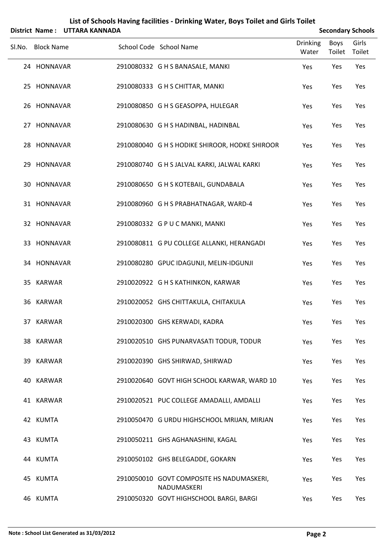| List of Schools Having facilities - Drinking Water, Boys Toilet and Girls Toilet<br><b>Secondary Schools</b><br><b>UTTARA KANNADA</b><br>District Name: |                   |  |  |                                                          |                 |             |        |
|---------------------------------------------------------------------------------------------------------------------------------------------------------|-------------------|--|--|----------------------------------------------------------|-----------------|-------------|--------|
| Sl.No.                                                                                                                                                  | <b>Block Name</b> |  |  | School Code School Name                                  | <b>Drinking</b> | <b>Boys</b> | Girls  |
|                                                                                                                                                         |                   |  |  |                                                          | Water           | Toilet      | Toilet |
|                                                                                                                                                         | 24 HONNAVAR       |  |  | 2910080332 G H S BANASALE, MANKI                         | Yes             | Yes         | Yes    |
|                                                                                                                                                         | 25 HONNAVAR       |  |  | 2910080333 G H S CHITTAR, MANKI                          | Yes             | Yes         | Yes    |
|                                                                                                                                                         | 26 HONNAVAR       |  |  | 2910080850 G H S GEASOPPA, HULEGAR                       | Yes             | Yes         | Yes    |
|                                                                                                                                                         | 27 HONNAVAR       |  |  | 2910080630 G H S HADINBAL, HADINBAL                      | Yes             | Yes         | Yes    |
|                                                                                                                                                         | 28 HONNAVAR       |  |  | 2910080040 G H S HODIKE SHIROOR, HODKE SHIROOR           | Yes             | Yes         | Yes    |
|                                                                                                                                                         | 29 HONNAVAR       |  |  | 2910080740 G H S JALVAL KARKI, JALWAL KARKI              | Yes             | Yes         | Yes    |
|                                                                                                                                                         | 30 HONNAVAR       |  |  | 2910080650 G H S KOTEBAIL, GUNDABALA                     | Yes             | Yes         | Yes    |
|                                                                                                                                                         | 31 HONNAVAR       |  |  | 2910080960 G H S PRABHATNAGAR, WARD-4                    | Yes             | Yes         | Yes    |
|                                                                                                                                                         | 32 HONNAVAR       |  |  | 2910080332 GPUCMANKI, MANKI                              | Yes             | Yes         | Yes    |
|                                                                                                                                                         | 33 HONNAVAR       |  |  | 2910080811 G PU COLLEGE ALLANKI, HERANGADI               | Yes             | Yes         | Yes    |
|                                                                                                                                                         | 34 HONNAVAR       |  |  | 2910080280 GPUC IDAGUNJI, MELIN-IDGUNJI                  | Yes             | Yes         | Yes    |
|                                                                                                                                                         | 35 KARWAR         |  |  | 2910020922 G H S KATHINKON, KARWAR                       | Yes             | Yes         | Yes    |
|                                                                                                                                                         | 36 KARWAR         |  |  | 2910020052 GHS CHITTAKULA, CHITAKULA                     | Yes             | Yes         | Yes    |
|                                                                                                                                                         | 37 KARWAR         |  |  | 2910020300 GHS KERWADI, KADRA                            | Yes             | Yes         | Yes    |
|                                                                                                                                                         | 38 KARWAR         |  |  | 2910020510 GHS PUNARVASATI TODUR, TODUR                  | Yes             | Yes         | Yes    |
|                                                                                                                                                         | 39 KARWAR         |  |  | 2910020390 GHS SHIRWAD, SHIRWAD                          | Yes             | Yes         | Yes    |
|                                                                                                                                                         | 40 KARWAR         |  |  | 2910020640 GOVT HIGH SCHOOL KARWAR, WARD 10              | Yes             | Yes         | Yes    |
|                                                                                                                                                         | 41 KARWAR         |  |  | 2910020521 PUC COLLEGE AMADALLI, AMDALLI                 | Yes             | Yes         | Yes    |
|                                                                                                                                                         | 42 KUMTA          |  |  | 2910050470 G URDU HIGHSCHOOL MRIJAN, MIRJAN              | Yes             | Yes         | Yes    |
|                                                                                                                                                         | 43 KUMTA          |  |  | 2910050211 GHS AGHANASHINI, KAGAL                        | Yes             | Yes         | Yes    |
|                                                                                                                                                         | 44 KUMTA          |  |  | 2910050102 GHS BELEGADDE, GOKARN                         | Yes             | Yes         | Yes    |
|                                                                                                                                                         | 45 KUMTA          |  |  | 2910050010 GOVT COMPOSITE HS NADUMASKERI,<br>NADUMASKERI | Yes             | Yes         | Yes    |
|                                                                                                                                                         | 46 KUMTA          |  |  | 2910050320 GOVT HIGHSCHOOL BARGI, BARGI                  | Yes             | Yes         | Yes    |